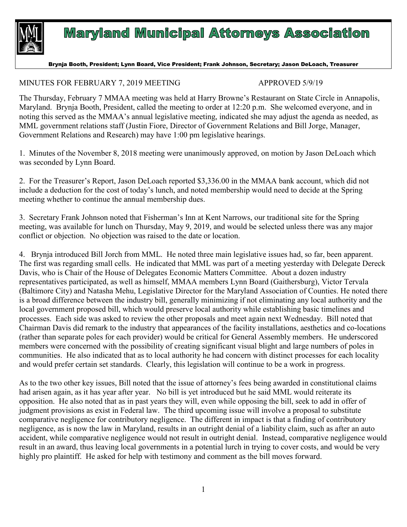

## **Maryland Municipal Attorneys Association**

## Brynja Booth, President; Lynn Board, Vice President; Frank Johnson, Secretary; Jason DeLoach, Treasurer

## MINUTES FOR FEBRUARY 7, 2019 MEETING APPROVED 5/9/19

The Thursday, February 7 MMAA meeting was held at Harry Browne's Restaurant on State Circle in Annapolis, Maryland. Brynja Booth, President, called the meeting to order at 12:20 p.m. She welcomed everyone, and in noting this served as the MMAA's annual legislative meeting, indicated she may adjust the agenda as needed, as MML government relations staff (Justin Fiore, Director of Government Relations and Bill Jorge, Manager, Government Relations and Research) may have 1:00 pm legislative hearings.

1. Minutes of the November 8, 2018 meeting were unanimously approved, on motion by Jason DeLoach which was seconded by Lynn Board.

2. For the Treasurer's Report, Jason DeLoach reported \$3,336.00 in the MMAA bank account, which did not include a deduction for the cost of today's lunch, and noted membership would need to decide at the Spring meeting whether to continue the annual membership dues.

3. Secretary Frank Johnson noted that Fisherman's Inn at Kent Narrows, our traditional site for the Spring meeting, was available for lunch on Thursday, May 9, 2019, and would be selected unless there was any major conflict or objection. No objection was raised to the date or location.

4. Brynja introduced Bill Jorch from MML. He noted three main legislative issues had, so far, been apparent. The first was regarding small cells. He indicated that MML was part of a meeting yesterday with Delegate Dereck Davis, who is Chair of the House of Delegates Economic Matters Committee. About a dozen industry representatives participated, as well as himself, MMAA members Lynn Board (Gaithersburg), Victor Tervala (Baltimore City) and Natasha Mehu, Legislative Director for the Maryland Association of Counties. He noted there is a broad difference between the industry bill, generally minimizing if not eliminating any local authority and the local government proposed bill, which would preserve local authority while establishing basic timelines and processes. Each side was asked to review the other proposals and meet again next Wednesday. Bill noted that Chairman Davis did remark to the industry that appearances of the facility installations, aesthetics and co-locations (rather than separate poles for each provider) would be critical for General Assembly members. He underscored members were concerned with the possibility of creating significant visual blight and large numbers of poles in communities. He also indicated that as to local authority he had concern with distinct processes for each locality and would prefer certain set standards. Clearly, this legislation will continue to be a work in progress.

As to the two other key issues, Bill noted that the issue of attorney's fees being awarded in constitutional claims had arisen again, as it has year after year. No bill is yet introduced but he said MML would reiterate its opposition. He also noted that as in past years they will, even while opposing the bill, seek to add in offer of judgment provisions as exist in Federal law. The third upcoming issue will involve a proposal to substitute comparative negligence for contributory negligence. The different in impact is that a finding of contributory negligence, as is now the law in Maryland, results in an outright denial of a liability claim, such as after an auto accident, while comparative negligence would not result in outright denial. Instead, comparative negligence would result in an award, thus leaving local governments in a potential lurch in trying to cover costs, and would be very highly pro plaintiff. He asked for help with testimony and comment as the bill moves forward.